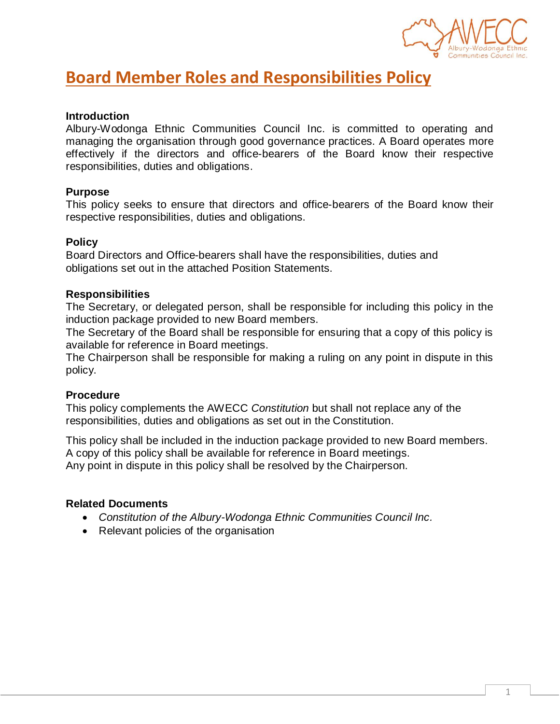

# **Board Member Roles and Responsibilities Policy**

### **Introduction**

Albury-Wodonga Ethnic Communities Council Inc. is committed to operating and managing the organisation through good governance practices. A Board operates more effectively if the directors and office-bearers of the Board know their respective responsibilities, duties and obligations.

#### **Purpose**

This policy seeks to ensure that directors and office-bearers of the Board know their respective responsibilities, duties and obligations.

#### **Policy**

Board Directors and Office-bearers shall have the responsibilities, duties and obligations set out in the attached Position Statements.

#### **Responsibilities**

The Secretary, or delegated person, shall be responsible for including this policy in the induction package provided to new Board members.

The Secretary of the Board shall be responsible for ensuring that a copy of this policy is available for reference in Board meetings.

The Chairperson shall be responsible for making a ruling on any point in dispute in this policy.

#### **Procedure**

This policy complements the AWECC *Constitution* but shall not replace any of the responsibilities, duties and obligations as set out in the Constitution.

This policy shall be included in the induction package provided to new Board members. A copy of this policy shall be available for reference in Board meetings. Any point in dispute in this policy shall be resolved by the Chairperson.

#### **Related Documents**

- *Constitution of the Albury-Wodonga Ethnic Communities Council Inc.*
- Relevant policies of the organisation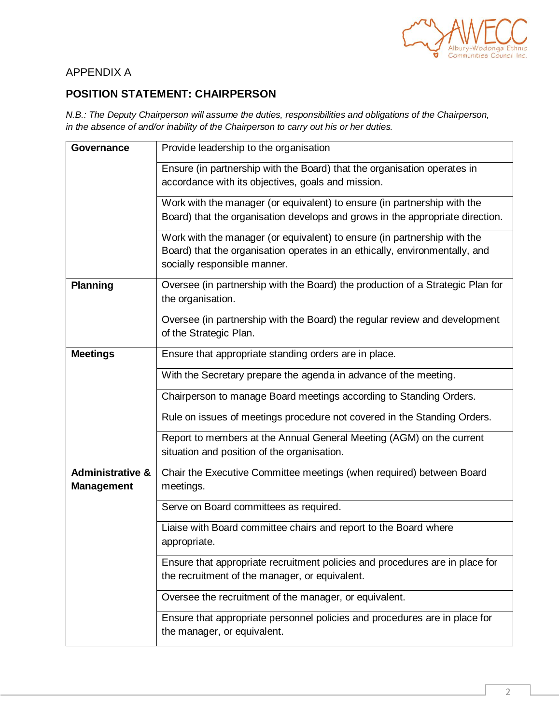

### APPENDIX A

### **POSITION STATEMENT: CHAIRPERSON**

*N.B.: The Deputy Chairperson will assume the duties, responsibilities and obligations of the Chairperson, in the absence of and/or inability of the Chairperson to carry out his or her duties.*

| Governance                                       | Provide leadership to the organisation                                                                                                                                                  |
|--------------------------------------------------|-----------------------------------------------------------------------------------------------------------------------------------------------------------------------------------------|
|                                                  | Ensure (in partnership with the Board) that the organisation operates in<br>accordance with its objectives, goals and mission.                                                          |
|                                                  | Work with the manager (or equivalent) to ensure (in partnership with the<br>Board) that the organisation develops and grows in the appropriate direction.                               |
|                                                  | Work with the manager (or equivalent) to ensure (in partnership with the<br>Board) that the organisation operates in an ethically, environmentally, and<br>socially responsible manner. |
| <b>Planning</b>                                  | Oversee (in partnership with the Board) the production of a Strategic Plan for<br>the organisation.                                                                                     |
|                                                  | Oversee (in partnership with the Board) the regular review and development<br>of the Strategic Plan.                                                                                    |
| <b>Meetings</b>                                  | Ensure that appropriate standing orders are in place.                                                                                                                                   |
|                                                  | With the Secretary prepare the agenda in advance of the meeting.                                                                                                                        |
|                                                  | Chairperson to manage Board meetings according to Standing Orders.                                                                                                                      |
|                                                  | Rule on issues of meetings procedure not covered in the Standing Orders.                                                                                                                |
|                                                  | Report to members at the Annual General Meeting (AGM) on the current<br>situation and position of the organisation.                                                                     |
| <b>Administrative &amp;</b><br><b>Management</b> | Chair the Executive Committee meetings (when required) between Board<br>meetings.                                                                                                       |
|                                                  | Serve on Board committees as required.                                                                                                                                                  |
|                                                  | Liaise with Board committee chairs and report to the Board where<br>appropriate.                                                                                                        |
|                                                  | Ensure that appropriate recruitment policies and procedures are in place for<br>the recruitment of the manager, or equivalent.                                                          |
|                                                  | Oversee the recruitment of the manager, or equivalent.                                                                                                                                  |
|                                                  | Ensure that appropriate personnel policies and procedures are in place for<br>the manager, or equivalent.                                                                               |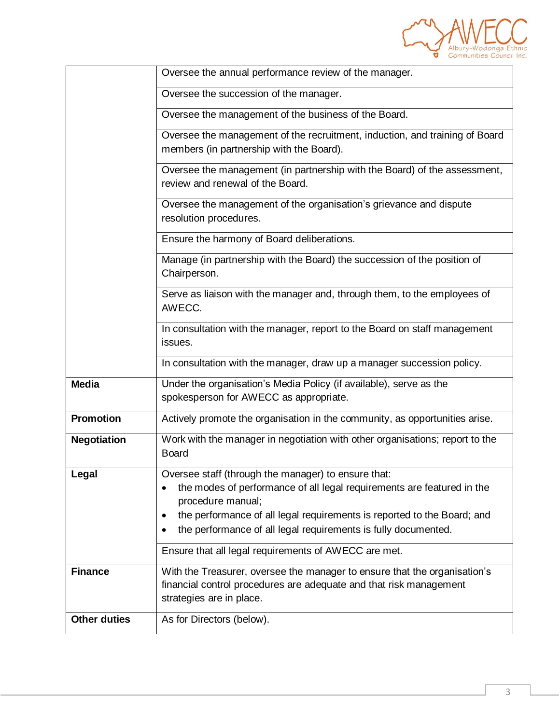

|                     | Oversee the annual performance review of the manager.                                                                                                                                                                                                                                                             |
|---------------------|-------------------------------------------------------------------------------------------------------------------------------------------------------------------------------------------------------------------------------------------------------------------------------------------------------------------|
|                     |                                                                                                                                                                                                                                                                                                                   |
|                     | Oversee the succession of the manager.                                                                                                                                                                                                                                                                            |
|                     | Oversee the management of the business of the Board.                                                                                                                                                                                                                                                              |
|                     | Oversee the management of the recruitment, induction, and training of Board<br>members (in partnership with the Board).                                                                                                                                                                                           |
|                     | Oversee the management (in partnership with the Board) of the assessment,<br>review and renewal of the Board.                                                                                                                                                                                                     |
|                     | Oversee the management of the organisation's grievance and dispute<br>resolution procedures.                                                                                                                                                                                                                      |
|                     | Ensure the harmony of Board deliberations.                                                                                                                                                                                                                                                                        |
|                     | Manage (in partnership with the Board) the succession of the position of<br>Chairperson.                                                                                                                                                                                                                          |
|                     | Serve as liaison with the manager and, through them, to the employees of<br>AWECC.                                                                                                                                                                                                                                |
|                     | In consultation with the manager, report to the Board on staff management<br>issues.                                                                                                                                                                                                                              |
|                     | In consultation with the manager, draw up a manager succession policy.                                                                                                                                                                                                                                            |
| <b>Media</b>        | Under the organisation's Media Policy (if available), serve as the<br>spokesperson for AWECC as appropriate.                                                                                                                                                                                                      |
| <b>Promotion</b>    | Actively promote the organisation in the community, as opportunities arise.                                                                                                                                                                                                                                       |
| <b>Negotiation</b>  | Work with the manager in negotiation with other organisations; report to the<br><b>Board</b>                                                                                                                                                                                                                      |
| Legal               | Oversee staff (through the manager) to ensure that:<br>the modes of performance of all legal requirements are featured in the<br>٠<br>procedure manual;<br>the performance of all legal requirements is reported to the Board; and<br>$\bullet$<br>the performance of all legal requirements is fully documented. |
|                     | Ensure that all legal requirements of AWECC are met.                                                                                                                                                                                                                                                              |
| <b>Finance</b>      | With the Treasurer, oversee the manager to ensure that the organisation's<br>financial control procedures are adequate and that risk management<br>strategies are in place.                                                                                                                                       |
| <b>Other duties</b> | As for Directors (below).                                                                                                                                                                                                                                                                                         |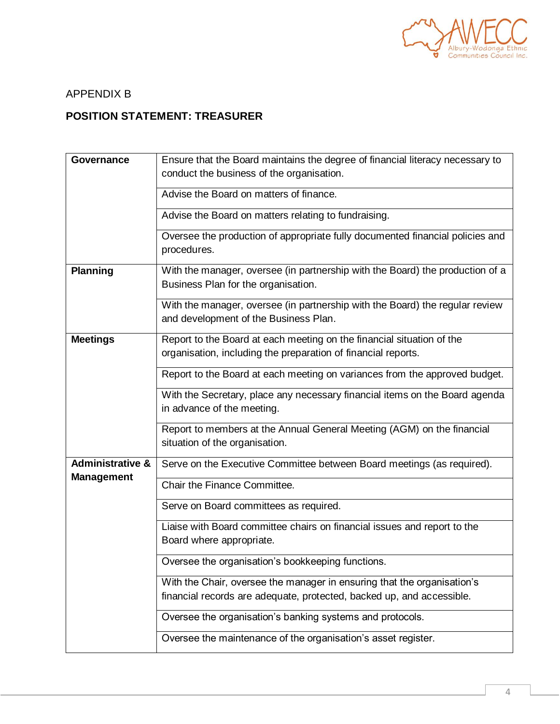

### APPENDIX B

### **POSITION STATEMENT: TREASURER**

| Governance                  | Ensure that the Board maintains the degree of financial literacy necessary to<br>conduct the business of the organisation.             |
|-----------------------------|----------------------------------------------------------------------------------------------------------------------------------------|
|                             | Advise the Board on matters of finance.                                                                                                |
|                             | Advise the Board on matters relating to fundraising.                                                                                   |
|                             | Oversee the production of appropriate fully documented financial policies and<br>procedures.                                           |
| <b>Planning</b>             | With the manager, oversee (in partnership with the Board) the production of a<br>Business Plan for the organisation.                   |
|                             | With the manager, oversee (in partnership with the Board) the regular review<br>and development of the Business Plan.                  |
| <b>Meetings</b>             | Report to the Board at each meeting on the financial situation of the<br>organisation, including the preparation of financial reports. |
|                             | Report to the Board at each meeting on variances from the approved budget.                                                             |
|                             | With the Secretary, place any necessary financial items on the Board agenda<br>in advance of the meeting.                              |
|                             | Report to members at the Annual General Meeting (AGM) on the financial<br>situation of the organisation.                               |
| <b>Administrative &amp;</b> | Serve on the Executive Committee between Board meetings (as required).                                                                 |
| <b>Management</b>           | Chair the Finance Committee.                                                                                                           |
|                             | Serve on Board committees as required.                                                                                                 |
|                             | Liaise with Board committee chairs on financial issues and report to the<br>Board where appropriate.                                   |
|                             | Oversee the organisation's bookkeeping functions.                                                                                      |
|                             | With the Chair, oversee the manager in ensuring that the organisation's                                                                |
|                             | financial records are adequate, protected, backed up, and accessible.                                                                  |
|                             | Oversee the organisation's banking systems and protocols.                                                                              |
|                             | Oversee the maintenance of the organisation's asset register.                                                                          |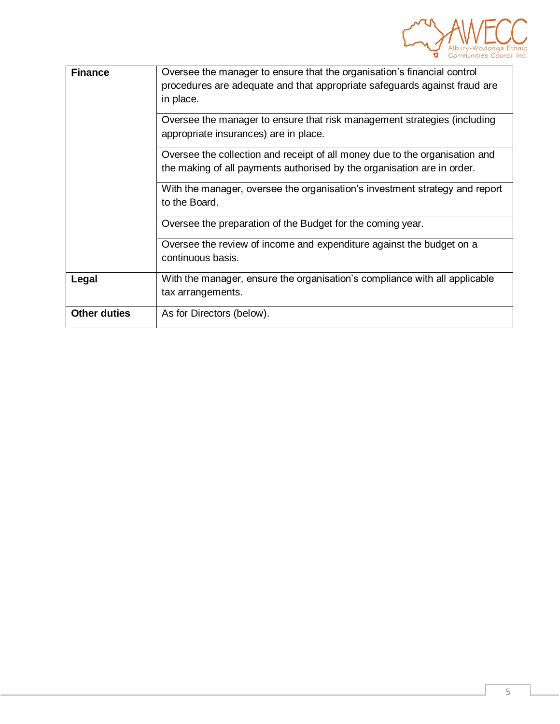

| <b>Finance</b>      | Oversee the manager to ensure that the organisation's financial control<br>procedures are adequate and that appropriate safeguards against fraud are<br>in place.<br>Oversee the manager to ensure that risk management strategies (including                                  |
|---------------------|--------------------------------------------------------------------------------------------------------------------------------------------------------------------------------------------------------------------------------------------------------------------------------|
|                     | appropriate insurances) are in place.<br>Oversee the collection and receipt of all money due to the organisation and<br>the making of all payments authorised by the organisation are in order.<br>With the manager, oversee the organisation's investment strategy and report |
|                     | to the Board.<br>Oversee the preparation of the Budget for the coming year.<br>Oversee the review of income and expenditure against the budget on a                                                                                                                            |
|                     | continuous basis.                                                                                                                                                                                                                                                              |
| Legal               | With the manager, ensure the organisation's compliance with all applicable<br>tax arrangements.                                                                                                                                                                                |
| <b>Other duties</b> | As for Directors (below).                                                                                                                                                                                                                                                      |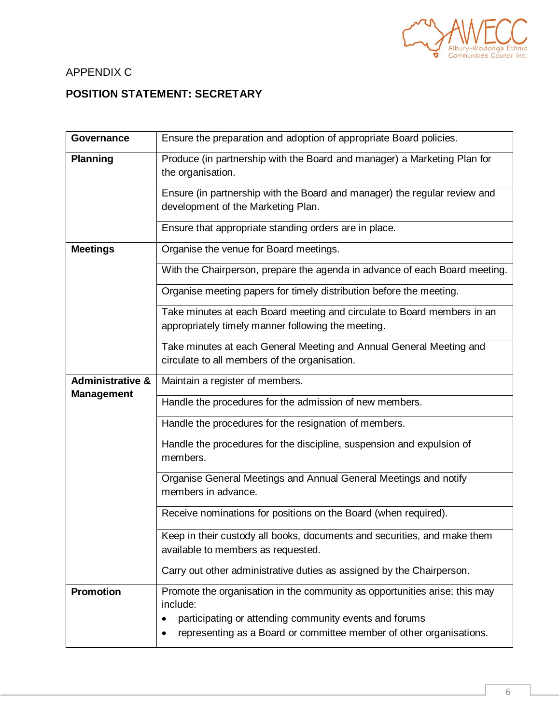

# APPENDIX C

# **POSITION STATEMENT: SECRETARY**

| Governance                  | Ensure the preparation and adoption of appropriate Board policies.                                                            |
|-----------------------------|-------------------------------------------------------------------------------------------------------------------------------|
| <b>Planning</b>             | Produce (in partnership with the Board and manager) a Marketing Plan for<br>the organisation.                                 |
|                             | Ensure (in partnership with the Board and manager) the regular review and<br>development of the Marketing Plan.               |
|                             | Ensure that appropriate standing orders are in place.                                                                         |
| <b>Meetings</b>             | Organise the venue for Board meetings.                                                                                        |
|                             | With the Chairperson, prepare the agenda in advance of each Board meeting.                                                    |
|                             | Organise meeting papers for timely distribution before the meeting.                                                           |
|                             | Take minutes at each Board meeting and circulate to Board members in an<br>appropriately timely manner following the meeting. |
|                             | Take minutes at each General Meeting and Annual General Meeting and<br>circulate to all members of the organisation.          |
| <b>Administrative &amp;</b> | Maintain a register of members.                                                                                               |
| <b>Management</b>           | Handle the procedures for the admission of new members.                                                                       |
|                             | Handle the procedures for the resignation of members.                                                                         |
|                             | Handle the procedures for the discipline, suspension and expulsion of<br>members.                                             |
|                             | Organise General Meetings and Annual General Meetings and notify<br>members in advance.                                       |
|                             | Receive nominations for positions on the Board (when required).                                                               |
|                             | Keep in their custody all books, documents and securities, and make them                                                      |
|                             | available to members as requested.                                                                                            |
|                             | Carry out other administrative duties as assigned by the Chairperson.                                                         |
| <b>Promotion</b>            | Promote the organisation in the community as opportunities arise; this may<br>include:                                        |
|                             | participating or attending community events and forums<br>representing as a Board or committee member of other organisations. |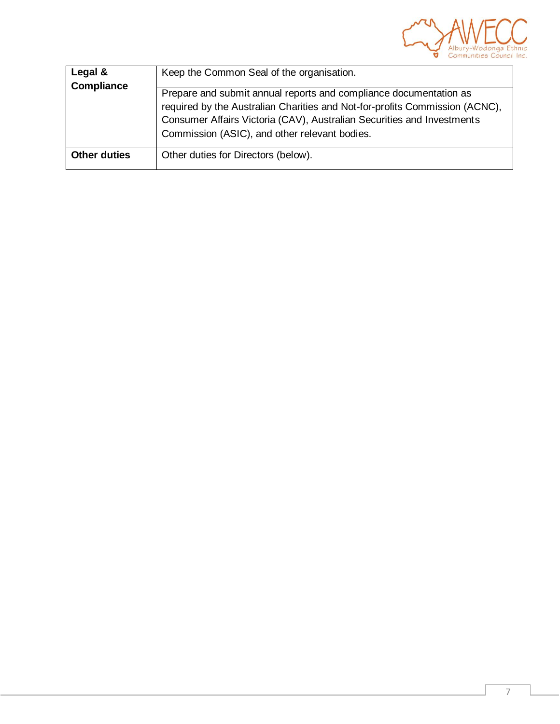

| Legal &             | Keep the Common Seal of the organisation.                                                                                                                                                                                                                                   |
|---------------------|-----------------------------------------------------------------------------------------------------------------------------------------------------------------------------------------------------------------------------------------------------------------------------|
| <b>Compliance</b>   | Prepare and submit annual reports and compliance documentation as<br>required by the Australian Charities and Not-for-profits Commission (ACNC),<br>Consumer Affairs Victoria (CAV), Australian Securities and Investments<br>Commission (ASIC), and other relevant bodies. |
| <b>Other duties</b> | Other duties for Directors (below).                                                                                                                                                                                                                                         |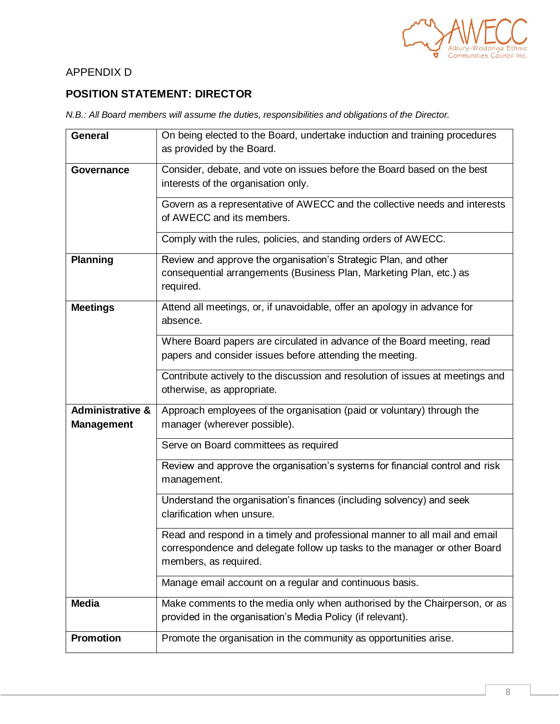

# APPENDIX D

## **POSITION STATEMENT: DIRECTOR**

*N.B.: All Board members will assume the duties, responsibilities and obligations of the Director.*

| General                                          | On being elected to the Board, undertake induction and training procedures<br>as provided by the Board.                                                                          |
|--------------------------------------------------|----------------------------------------------------------------------------------------------------------------------------------------------------------------------------------|
| <b>Governance</b>                                | Consider, debate, and vote on issues before the Board based on the best<br>interests of the organisation only.                                                                   |
|                                                  | Govern as a representative of AWECC and the collective needs and interests<br>of AWECC and its members.                                                                          |
|                                                  | Comply with the rules, policies, and standing orders of AWECC.                                                                                                                   |
| <b>Planning</b>                                  | Review and approve the organisation's Strategic Plan, and other<br>consequential arrangements (Business Plan, Marketing Plan, etc.) as<br>required.                              |
| <b>Meetings</b>                                  | Attend all meetings, or, if unavoidable, offer an apology in advance for<br>absence.                                                                                             |
|                                                  | Where Board papers are circulated in advance of the Board meeting, read<br>papers and consider issues before attending the meeting.                                              |
|                                                  | Contribute actively to the discussion and resolution of issues at meetings and<br>otherwise, as appropriate.                                                                     |
| <b>Administrative &amp;</b><br><b>Management</b> | Approach employees of the organisation (paid or voluntary) through the<br>manager (wherever possible).                                                                           |
|                                                  | Serve on Board committees as required                                                                                                                                            |
|                                                  | Review and approve the organisation's systems for financial control and risk<br>management.                                                                                      |
|                                                  | Understand the organisation's finances (including solvency) and seek<br>clarification when unsure.                                                                               |
|                                                  | Read and respond in a timely and professional manner to all mail and email<br>correspondence and delegate follow up tasks to the manager or other Board<br>members, as required. |
|                                                  | Manage email account on a regular and continuous basis.                                                                                                                          |
| <b>Media</b>                                     | Make comments to the media only when authorised by the Chairperson, or as<br>provided in the organisation's Media Policy (if relevant).                                          |
| <b>Promotion</b>                                 | Promote the organisation in the community as opportunities arise.                                                                                                                |